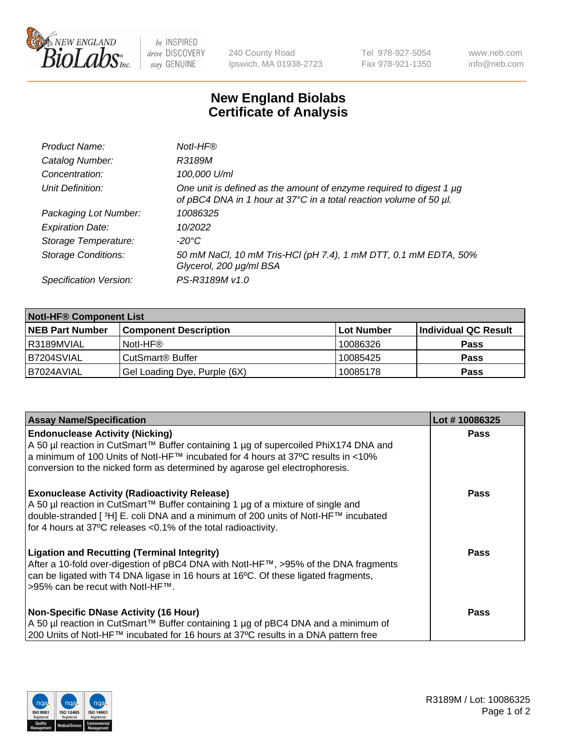

 $be$  INSPIRED drive DISCOVERY stay GENUINE

240 County Road Ipswich, MA 01938-2723 Tel 978-927-5054 Fax 978-921-1350 www.neb.com info@neb.com

## **New England Biolabs Certificate of Analysis**

| Product Name:              | Notl-HF®                                                                                                                                  |
|----------------------------|-------------------------------------------------------------------------------------------------------------------------------------------|
| Catalog Number:            | R3189M                                                                                                                                    |
| Concentration:             | 100,000 U/ml                                                                                                                              |
| Unit Definition:           | One unit is defined as the amount of enzyme required to digest 1 µg<br>of pBC4 DNA in 1 hour at 37°C in a total reaction volume of 50 µl. |
| Packaging Lot Number:      | 10086325                                                                                                                                  |
| <b>Expiration Date:</b>    | 10/2022                                                                                                                                   |
| Storage Temperature:       | $-20^{\circ}$ C                                                                                                                           |
| <b>Storage Conditions:</b> | 50 mM NaCl, 10 mM Tris-HCl (pH 7.4), 1 mM DTT, 0.1 mM EDTA, 50%<br>Glycerol, 200 µg/ml BSA                                                |
| Specification Version:     | PS-R3189M v1.0                                                                                                                            |

| <b>Notl-HF® Component List</b> |                              |                   |                      |  |  |
|--------------------------------|------------------------------|-------------------|----------------------|--|--|
| <b>NEB Part Number</b>         | <b>Component Description</b> | <b>Lot Number</b> | Individual QC Result |  |  |
| I R3189MVIAL                   | Notl-HF®                     | 10086326          | <b>Pass</b>          |  |  |
| B7204SVIAL                     | CutSmart <sup>®</sup> Buffer | 10085425          | <b>Pass</b>          |  |  |
| B7024AVIAL                     | Gel Loading Dye, Purple (6X) | 10085178          | <b>Pass</b>          |  |  |

| <b>Assay Name/Specification</b>                                                                                                                                                                                                                                                                            | Lot #10086325 |
|------------------------------------------------------------------------------------------------------------------------------------------------------------------------------------------------------------------------------------------------------------------------------------------------------------|---------------|
| <b>Endonuclease Activity (Nicking)</b><br>  A 50 µl reaction in CutSmart™ Buffer containing 1 µg of supercoiled PhiX174 DNA and                                                                                                                                                                            | <b>Pass</b>   |
| a minimum of 100 Units of Notl-HF™ incubated for 4 hours at 37°C results in <10%<br>conversion to the nicked form as determined by agarose gel electrophoresis.                                                                                                                                            |               |
| <b>Exonuclease Activity (Radioactivity Release)</b><br>A 50 µl reaction in CutSmart™ Buffer containing 1 µg of a mixture of single and<br>double-stranded [ <sup>3</sup> H] E. coli DNA and a minimum of 200 units of Notl-HF™ incubated<br>for 4 hours at 37°C releases <0.1% of the total radioactivity. | <b>Pass</b>   |
| <b>Ligation and Recutting (Terminal Integrity)</b><br>After a 10-fold over-digestion of pBC4 DNA with Notl-HF™, >95% of the DNA fragments<br>can be ligated with T4 DNA ligase in 16 hours at 16 $\degree$ C. Of these ligated fragments,<br> >95% can be recut with NotI-HF™.                             | <b>Pass</b>   |
| <b>Non-Specific DNase Activity (16 Hour)</b><br>  A 50 µl reaction in CutSmart™ Buffer containing 1 µg of pBC4 DNA and a minimum of<br>200 Units of Notl-HF™ incubated for 16 hours at 37°C results in a DNA pattern free                                                                                  | <b>Pass</b>   |